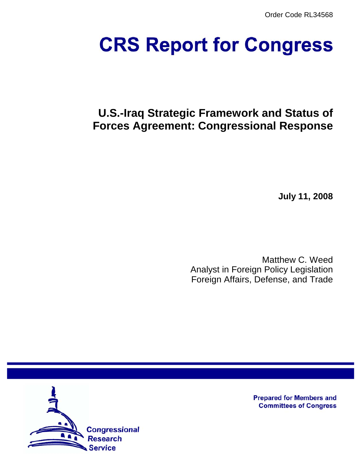Order Code RL34568

# **CRS Report for Congress**

# **U.S.-Iraq Strategic Framework and Status of Forces Agreement: Congressional Response**

**July 11, 2008**

Matthew C. Weed Analyst in Foreign Policy Legislation Foreign Affairs, Defense, and Trade



**Prepared for Members and Committees of Congress**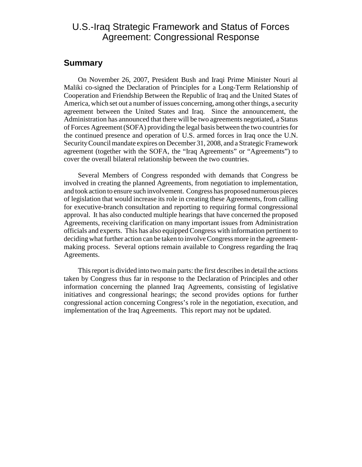## U.S.-Iraq Strategic Framework and Status of Forces Agreement: Congressional Response

#### **Summary**

On November 26, 2007, President Bush and Iraqi Prime Minister Nouri al Maliki co-signed the Declaration of Principles for a Long-Term Relationship of Cooperation and Friendship Between the Republic of Iraq and the United States of America, which set out a number of issues concerning, among other things, a security agreement between the United States and Iraq. Since the announcement, the Administration has announced that there will be two agreements negotiated, a Status of Forces Agreement (SOFA) providing the legal basis between the two countries for the continued presence and operation of U.S. armed forces in Iraq once the U.N. Security Council mandate expires on December 31, 2008, and a Strategic Framework agreement (together with the SOFA, the "Iraq Agreements" or "Agreements") to cover the overall bilateral relationship between the two countries.

Several Members of Congress responded with demands that Congress be involved in creating the planned Agreements, from negotiation to implementation, and took action to ensure such involvement. Congress has proposed numerous pieces of legislation that would increase its role in creating these Agreements, from calling for executive-branch consultation and reporting to requiring formal congressional approval. It has also conducted multiple hearings that have concerned the proposed Agreements, receiving clarification on many important issues from Administration officials and experts. This has also equipped Congress with information pertinent to deciding what further action can be taken to involve Congress more in the agreementmaking process. Several options remain available to Congress regarding the Iraq Agreements.

This report is divided into two main parts: the first describes in detail the actions taken by Congress thus far in response to the Declaration of Principles and other information concerning the planned Iraq Agreements, consisting of legislative initiatives and congressional hearings; the second provides options for further congressional action concerning Congress's role in the negotiation, execution, and implementation of the Iraq Agreements. This report may not be updated.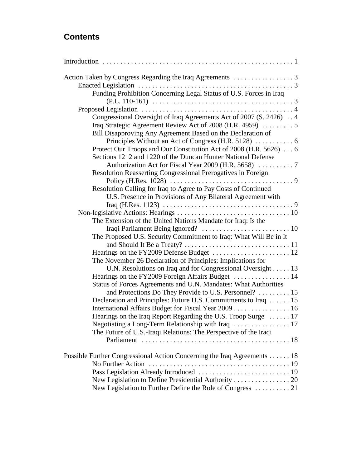## **Contents**

| Action Taken by Congress Regarding the Iraq Agreements 3                                                                           |  |
|------------------------------------------------------------------------------------------------------------------------------------|--|
|                                                                                                                                    |  |
| Funding Prohibition Concerning Legal Status of U.S. Forces in Iraq                                                                 |  |
|                                                                                                                                    |  |
|                                                                                                                                    |  |
| Congressional Oversight of Iraq Agreements Act of 2007 (S. 2426) 4                                                                 |  |
|                                                                                                                                    |  |
| Bill Disapproving Any Agreement Based on the Declaration of                                                                        |  |
|                                                                                                                                    |  |
| Protect Our Troops and Our Constitution Act of 2008 (H.R. 5626)  6<br>Sections 1212 and 1220 of the Duncan Hunter National Defense |  |
|                                                                                                                                    |  |
| Resolution Reasserting Congressional Prerogatives in Foreign                                                                       |  |
|                                                                                                                                    |  |
| Resolution Calling for Iraq to Agree to Pay Costs of Continued                                                                     |  |
| U.S. Presence in Provisions of Any Bilateral Agreement with                                                                        |  |
|                                                                                                                                    |  |
|                                                                                                                                    |  |
| The Extension of the United Nations Mandate for Iraq: Is the                                                                       |  |
|                                                                                                                                    |  |
| The Proposed U.S. Security Commitment to Iraq: What Will Be in It                                                                  |  |
|                                                                                                                                    |  |
|                                                                                                                                    |  |
| The November 26 Declaration of Principles: Implications for                                                                        |  |
| U.N. Resolutions on Iraq and for Congressional Oversight 13                                                                        |  |
| Hearings on the FY2009 Foreign Affairs Budget  14                                                                                  |  |
| Status of Forces Agreements and U.N. Mandates: What Authorities                                                                    |  |
| and Protections Do They Provide to U.S. Personnel?  15                                                                             |  |
| Declaration and Principles: Future U.S. Commitments to Iraq  15                                                                    |  |
| International Affairs Budget for Fiscal Year 2009 16                                                                               |  |
| Hearings on the Iraq Report Regarding the U.S. Troop Surge  17                                                                     |  |
| Negotiating a Long-Term Relationship with Iraq  17                                                                                 |  |
| The Future of U.S.-Iraqi Relations: The Perspective of the Iraqi                                                                   |  |
|                                                                                                                                    |  |
| Possible Further Congressional Action Concerning the Iraq Agreements 18                                                            |  |
|                                                                                                                                    |  |
|                                                                                                                                    |  |
| New Legislation to Define Presidential Authority  20                                                                               |  |
| New Legislation to Further Define the Role of Congress  21                                                                         |  |
|                                                                                                                                    |  |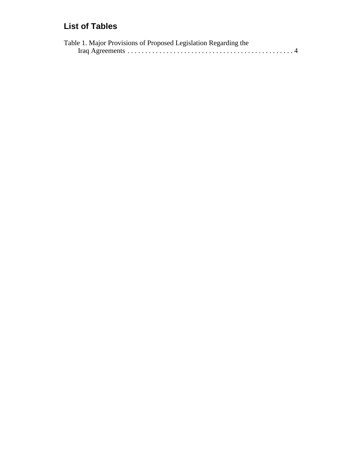## **List of Tables**

| Table 1. Major Provisions of Proposed Legislation Regarding the |  |
|-----------------------------------------------------------------|--|
|                                                                 |  |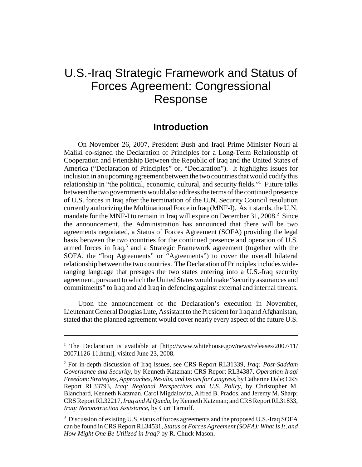# U.S.-Iraq Strategic Framework and Status of Forces Agreement: Congressional Response

#### **Introduction**

On November 26, 2007, President Bush and Iraqi Prime Minister Nouri al Maliki co-signed the Declaration of Principles for a Long-Term Relationship of Cooperation and Friendship Between the Republic of Iraq and the United States of America ("Declaration of Principles" or, "Declaration"). It highlights issues for inclusion in an upcoming agreement between the two countries that would codify this relationship in "the political, economic, cultural, and security fields."<sup>1</sup> Future talks between the two governments would also address the terms of the continued presence of U.S. forces in Iraq after the termination of the U.N. Security Council resolution currently authorizing the Multinational Force in Iraq (MNF-I). As it stands, the U.N. mandate for the MNF-I to remain in Iraq will expire on December 31, 2008.<sup>2</sup> Since the announcement, the Administration has announced that there will be two agreements negotiated, a Status of Forces Agreement (SOFA) providing the legal basis between the two countries for the continued presence and operation of U.S. armed forces in Iraq, $3$  and a Strategic Framework agreement (together with the SOFA, the "Iraq Agreements" or "Agreements") to cover the overall bilateral relationship between the two countries. The Declaration of Principles includes wideranging language that presages the two states entering into a U.S.-Iraq security agreement, pursuant to which the United States would make "security assurances and commitments" to Iraq and aid Iraq in defending against external and internal threats.

Upon the announcement of the Declaration's execution in November, Lieutenant General Douglas Lute, Assistant to the President for Iraq and Afghanistan, stated that the planned agreement would cover nearly every aspect of the future U.S.

<sup>&</sup>lt;sup>1</sup> The Declaration is available at [http://www.whitehouse.gov/news/releases/2007/11/ 20071126-11.html], visited June 23, 2008.

<sup>2</sup> For in-depth discussion of Iraq issues, see CRS Report RL31339, *Iraq: Post-Saddam Governance and Security*, by Kenneth Katzman; CRS Report RL34387, *Operation Iraqi Freedom: Strategies, Approaches, Results, and Issues for Congress*, by Catherine Dale; CRS Report RL33793, *Iraq: Regional Perspectives and U.S. Policy*, by Christopher M. Blanchard, Kenneth Katzman, Carol Migdalovitz, Alfred B. Prados, and Jeremy M. Sharp; CRS Report RL32217, *Iraq and Al Qaeda*, by Kenneth Katzman; and CRS Report RL31833, *Iraq: Reconstruction Assistance*, by Curt Tarnoff.

<sup>&</sup>lt;sup>3</sup> Discussion of existing U.S. status of forces agreements and the proposed U.S.-Iraq SOFA can be found in CRS Report RL34531, *Status of Forces Agreement (SOFA): What Is It, and How Might One Be Utilized in Iraq?* by R. Chuck Mason.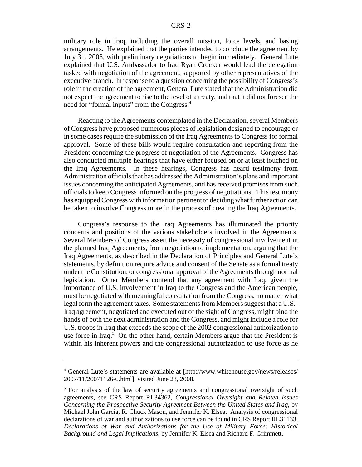military role in Iraq, including the overall mission, force levels, and basing arrangements. He explained that the parties intended to conclude the agreement by July 31, 2008, with preliminary negotiations to begin immediately. General Lute explained that U.S. Ambassador to Iraq Ryan Crocker would lead the delegation tasked with negotiation of the agreement, supported by other representatives of the executive branch. In response to a question concerning the possibility of Congress's role in the creation of the agreement, General Lute stated that the Administration did not expect the agreement to rise to the level of a treaty, and that it did not foresee the need for "formal inputs" from the Congress.<sup>4</sup>

Reacting to the Agreements contemplated in the Declaration, several Members of Congress have proposed numerous pieces of legislation designed to encourage or in some cases require the submission of the Iraq Agreements to Congress for formal approval. Some of these bills would require consultation and reporting from the President concerning the progress of negotiation of the Agreements. Congress has also conducted multiple hearings that have either focused on or at least touched on the Iraq Agreements. In these hearings, Congress has heard testimony from Administration officials that has addressed the Administration's plans and important issues concerning the anticipated Agreements, and has received promises from such officials to keep Congress informed on the progress of negotiations. This testimony has equipped Congress with information pertinent to deciding what further action can be taken to involve Congress more in the process of creating the Iraq Agreements.

Congress's response to the Iraq Agreements has illuminated the priority concerns and positions of the various stakeholders involved in the Agreements. Several Members of Congress assert the necessity of congressional involvement in the planned Iraq Agreements, from negotiation to implementation, arguing that the Iraq Agreements, as described in the Declaration of Principles and General Lute's statements, by definition require advice and consent of the Senate as a formal treaty under the Constitution, or congressional approval of the Agreements through normal legislation. Other Members contend that any agreement with Iraq, given the importance of U.S. involvement in Iraq to the Congress and the American people, must be negotiated with meaningful consultation from the Congress, no matter what legal form the agreement takes. Some statements from Members suggest that a U.S.- Iraq agreement, negotiated and executed out of the sight of Congress, might bind the hands of both the next administration and the Congress, and might include a role for U.S. troops in Iraq that exceeds the scope of the 2002 congressional authorization to use force in Iraq.<sup>5</sup> On the other hand, certain Members argue that the President is within his inherent powers and the congressional authorization to use force as he

<sup>4</sup> General Lute's statements are available at [http://www.whitehouse.gov/news/releases/ 2007/11/20071126-6.html], visited June 23, 2008.

<sup>&</sup>lt;sup>5</sup> For analysis of the law of security agreements and congressional oversight of such agreements, see CRS Report RL34362, *Congressional Oversight and Related Issues Concerning the Prospective Security Agreement Between the United States and Iraq*, by Michael John Garcia, R. Chuck Mason, and Jennifer K. Elsea. Analysis of congressional declarations of war and authorizations to use force can be found in CRS Report RL31133, *Declarations of War and Authorizations for the Use of Military Force: Historical Background and Legal Implications*, by Jennifer K. Elsea and Richard F. Grimmett.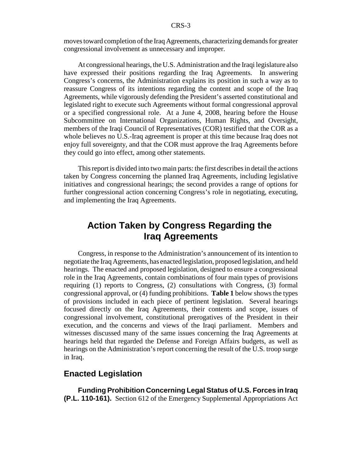moves toward completion of the Iraq Agreements, characterizing demands for greater congressional involvement as unnecessary and improper.

At congressional hearings, the U.S. Administration and the Iraqi legislature also have expressed their positions regarding the Iraq Agreements. In answering Congress's concerns, the Administration explains its position in such a way as to reassure Congress of its intentions regarding the content and scope of the Iraq Agreements, while vigorously defending the President's asserted constitutional and legislated right to execute such Agreements without formal congressional approval or a specified congressional role. At a June 4, 2008, hearing before the House Subcommittee on International Organizations, Human Rights, and Oversight, members of the Iraqi Council of Representatives (COR) testified that the COR as a whole believes no U.S.-Iraq agreement is proper at this time because Iraq does not enjoy full sovereignty, and that the COR must approve the Iraq Agreements before they could go into effect, among other statements.

This report is divided into two main parts: the first describes in detail the actions taken by Congress concerning the planned Iraq Agreements, including legislative initiatives and congressional hearings; the second provides a range of options for further congressional action concerning Congress's role in negotiating, executing, and implementing the Iraq Agreements.

## **Action Taken by Congress Regarding the Iraq Agreements**

Congress, in response to the Administration's announcement of its intention to negotiate the Iraq Agreements, has enacted legislation, proposed legislation, and held hearings. The enacted and proposed legislation, designed to ensure a congressional role in the Iraq Agreements, contain combinations of four main types of provisions requiring (1) reports to Congress, (2) consultations with Congress, (3) formal congressional approval, or (4) funding prohibitions. **Table 1** below shows the types of provisions included in each piece of pertinent legislation. Several hearings focused directly on the Iraq Agreements, their contents and scope, issues of congressional involvement, constitutional prerogatives of the President in their execution, and the concerns and views of the Iraqi parliament. Members and witnesses discussed many of the same issues concerning the Iraq Agreements at hearings held that regarded the Defense and Foreign Affairs budgets, as well as hearings on the Administration's report concerning the result of the U.S. troop surge in Iraq.

#### **Enacted Legislation**

**Funding Prohibition Concerning Legal Status of U.S. Forces in Iraq (P.L. 110-161).** Section 612 of the Emergency Supplemental Appropriations Act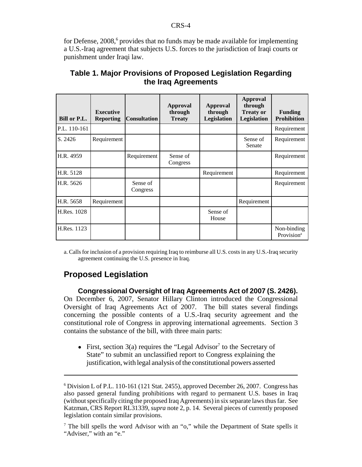for Defense, 2008,<sup>6</sup> provides that no funds may be made available for implementing a U.S.-Iraq agreement that subjects U.S. forces to the jurisdiction of Iraqi courts or punishment under Iraqi law.

| Bill or P.L. | <b>Executive</b><br><b>Reporting</b> | <b>Consultation</b>  | <b>Approval</b><br>through<br><b>Treaty</b> | Approval<br>through<br>Legislation | <b>Approval</b><br>through<br><b>Treaty or</b><br><b>Legislation</b> | <b>Funding</b><br><b>Prohibition</b>  |
|--------------|--------------------------------------|----------------------|---------------------------------------------|------------------------------------|----------------------------------------------------------------------|---------------------------------------|
| P.L. 110-161 |                                      |                      |                                             |                                    |                                                                      | Requirement                           |
| S. 2426      | Requirement                          |                      |                                             |                                    | Sense of<br>Senate                                                   | Requirement                           |
| H.R. 4959    |                                      | Requirement          | Sense of<br>Congress                        |                                    |                                                                      | Requirement                           |
| H.R. 5128    |                                      |                      |                                             | Requirement                        |                                                                      | Requirement                           |
| H.R. 5626    |                                      | Sense of<br>Congress |                                             |                                    |                                                                      | Requirement                           |
| H.R. 5658    | Requirement                          |                      |                                             |                                    | Requirement                                                          |                                       |
| H.Res. 1028  |                                      |                      |                                             | Sense of<br>House                  |                                                                      |                                       |
| H.Res. 1123  |                                      |                      |                                             |                                    |                                                                      | Non-binding<br>Provision <sup>a</sup> |

#### **Table 1. Major Provisions of Proposed Legislation Regarding the Iraq Agreements**

a. Calls for inclusion of a provision requiring Iraq to reimburse all U.S. costs in any U.S.-Iraq security agreement continuing the U.S. presence in Iraq.

#### **Proposed Legislation**

**Congressional Oversight of Iraq Agreements Act of 2007 (S. 2426).** On December 6, 2007, Senator Hillary Clinton introduced the Congressional Oversight of Iraq Agreements Act of 2007. The bill states several findings concerning the possible contents of a U.S.-Iraq security agreement and the constitutional role of Congress in approving international agreements. Section 3 contains the substance of the bill, with three main parts:

• First, section  $3(a)$  requires the "Legal Advisor<sup>7</sup> to the Secretary of State" to submit an unclassified report to Congress explaining the justification, with legal analysis of the constitutional powers asserted

<sup>&</sup>lt;sup>6</sup> Division L of P.L. 110-161 (121 Stat. 2455), approved December 26, 2007. Congress has also passed general funding prohibitions with regard to permanent U.S. bases in Iraq (without specifically citing the proposed Iraq Agreements) in six separate laws thus far. See Katzman, CRS Report RL31339, *supra* note 2, p. 14. Several pieces of currently proposed legislation contain similar provisions.

<sup>&</sup>lt;sup>7</sup> The bill spells the word Advisor with an "o," while the Department of State spells it "Adviser," with an "e."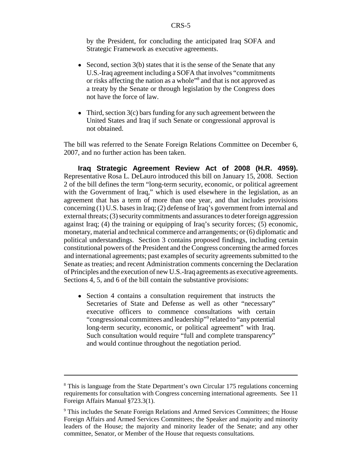by the President, for concluding the anticipated Iraq SOFA and Strategic Framework as executive agreements.

- Second, section  $3(b)$  states that it is the sense of the Senate that any U.S.-Iraq agreement including a SOFA that involves "commitments or risks affecting the nation as a whole"<sup>8</sup> and that is not approved as a treaty by the Senate or through legislation by the Congress does not have the force of law.
- Third, section  $3(c)$  bars funding for any such agreement between the United States and Iraq if such Senate or congressional approval is not obtained.

The bill was referred to the Senate Foreign Relations Committee on December 6, 2007, and no further action has been taken.

**Iraq Strategic Agreement Review Act of 2008 (H.R. 4959).** Representative Rosa L. DeLauro introduced this bill on January 15, 2008. Section 2 of the bill defines the term "long-term security, economic, or political agreement with the Government of Iraq," which is used elsewhere in the legislation, as an agreement that has a term of more than one year, and that includes provisions concerning (1) U.S. bases in Iraq; (2) defense of Iraq's government from internal and external threats; (3) security commitments and assurances to deter foreign aggression against Iraq; (4) the training or equipping of Iraq's security forces; (5) economic, monetary, material and technical commerce and arrangements; or (6) diplomatic and political understandings. Section 3 contains proposed findings, including certain constitutional powers of the President and the Congress concerning the armed forces and international agreements; past examples of security agreements submitted to the Senate as treaties; and recent Administration comments concerning the Declaration of Principles and the execution of new U.S.-Iraq agreements as executive agreements. Sections 4, 5, and 6 of the bill contain the substantive provisions:

• Section 4 contains a consultation requirement that instructs the Secretaries of State and Defense as well as other "necessary" executive officers to commence consultations with certain "congressional committees and leadership"<sup>9</sup> related to "any potential long-term security, economic, or political agreement" with Iraq. Such consultation would require "full and complete transparency" and would continue throughout the negotiation period.

<sup>&</sup>lt;sup>8</sup> This is language from the State Department's own Circular 175 regulations concerning requirements for consultation with Congress concerning international agreements. See 11 Foreign Affairs Manual §723.3(1).

<sup>&</sup>lt;sup>9</sup> This includes the Senate Foreign Relations and Armed Services Committees; the House Foreign Affairs and Armed Services Committees; the Speaker and majority and minority leaders of the House; the majority and minority leader of the Senate; and any other committee, Senator, or Member of the House that requests consultations.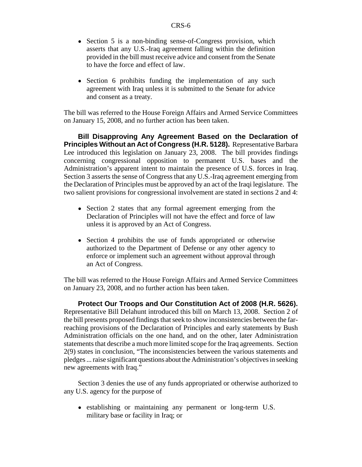- Section 5 is a non-binding sense-of-Congress provision, which asserts that any U.S.-Iraq agreement falling within the definition provided in the bill must receive advice and consent from the Senate to have the force and effect of law.
- Section 6 prohibits funding the implementation of any such agreement with Iraq unless it is submitted to the Senate for advice and consent as a treaty.

The bill was referred to the House Foreign Affairs and Armed Service Committees on January 15, 2008, and no further action has been taken.

**Bill Disapproving Any Agreement Based on the Declaration of Principles Without an Act of Congress (H.R. 5128).** Representative Barbara Lee introduced this legislation on January 23, 2008. The bill provides findings concerning congressional opposition to permanent U.S. bases and the Administration's apparent intent to maintain the presence of U.S. forces in Iraq. Section 3 asserts the sense of Congress that any U.S.-Iraq agreement emerging from the Declaration of Principles must be approved by an act of the Iraqi legislature. The two salient provisions for congressional involvement are stated in sections 2 and 4:

- Section 2 states that any formal agreement emerging from the Declaration of Principles will not have the effect and force of law unless it is approved by an Act of Congress.
- Section 4 prohibits the use of funds appropriated or otherwise authorized to the Department of Defense or any other agency to enforce or implement such an agreement without approval through an Act of Congress.

The bill was referred to the House Foreign Affairs and Armed Service Committees on January 23, 2008, and no further action has been taken.

**Protect Our Troops and Our Constitution Act of 2008 (H.R. 5626).** Representative Bill Delahunt introduced this bill on March 13, 2008. Section 2 of the bill presents proposed findings that seek to show inconsistencies between the farreaching provisions of the Declaration of Principles and early statements by Bush Administration officials on the one hand, and on the other, later Administration statements that describe a much more limited scope for the Iraq agreements. Section 2(9) states in conclusion, "The inconsistencies between the various statements and pledges ... raise significant questions about the Administration's objectives in seeking new agreements with Iraq."

Section 3 denies the use of any funds appropriated or otherwise authorized to any U.S. agency for the purpose of

! establishing or maintaining any permanent or long-term U.S. military base or facility in Iraq; or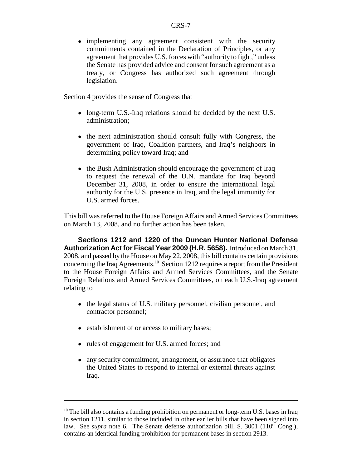• implementing any agreement consistent with the security commitments contained in the Declaration of Principles, or any agreement that provides U.S. forces with "authority to fight," unless the Senate has provided advice and consent for such agreement as a treaty, or Congress has authorized such agreement through legislation.

Section 4 provides the sense of Congress that

- long-term U.S.-Iraq relations should be decided by the next U.S. administration;
- the next administration should consult fully with Congress, the government of Iraq, Coalition partners, and Iraq's neighbors in determining policy toward Iraq; and
- the Bush Administration should encourage the government of Iraq to request the renewal of the U.N. mandate for Iraq beyond December 31, 2008, in order to ensure the international legal authority for the U.S. presence in Iraq, and the legal immunity for U.S. armed forces.

This bill was referred to the House Foreign Affairs and Armed Services Committees on March 13, 2008, and no further action has been taken.

**Sections 1212 and 1220 of the Duncan Hunter National Defense Authorization Act for Fiscal Year 2009 (H.R. 5658).** Introduced on March 31, 2008, and passed by the House on May 22, 2008, this bill contains certain provisions concerning the Iraq Agreements.<sup>10</sup> Section 1212 requires a report from the President to the House Foreign Affairs and Armed Services Committees, and the Senate Foreign Relations and Armed Services Committees, on each U.S.-Iraq agreement relating to

- the legal status of U.S. military personnel, civilian personnel, and contractor personnel;
- establishment of or access to military bases;
- rules of engagement for U.S. armed forces; and
- any security commitment, arrangement, or assurance that obligates the United States to respond to internal or external threats against Iraq.

 $10$  The bill also contains a funding prohibition on permanent or long-term U.S. bases in Iraq in section 1211, similar to those included in other earlier bills that have been signed into law. See *supra* note 6. The Senate defense authorization bill, S. 3001 (110<sup>th</sup> Cong.), contains an identical funding prohibition for permanent bases in section 2913.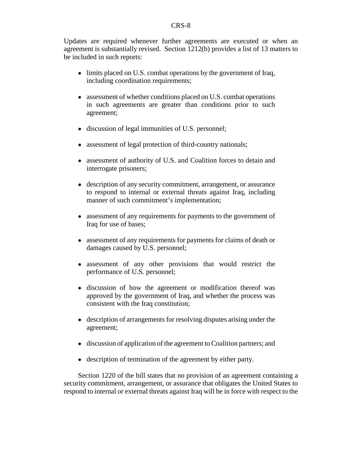Updates are required whenever further agreements are executed or when an agreement is substantially revised. Section 1212(b) provides a list of 13 matters to be included in such reports:

- limits placed on U.S. combat operations by the government of Iraq, including coordination requirements;
- assessment of whether conditions placed on U.S. combat operations in such agreements are greater than conditions prior to such agreement;
- discussion of legal immunities of U.S. personnel;
- assessment of legal protection of third-country nationals;
- assessment of authority of U.S. and Coalition forces to detain and interrogate prisoners;
- description of any security commitment, arrangement, or assurance to respond to internal or external threats against Iraq, including manner of such commitment's implementation;
- assessment of any requirements for payments to the government of Iraq for use of bases;
- assessment of any requirements for payments for claims of death or damages caused by U.S. personnel;
- assessment of any other provisions that would restrict the performance of U.S. personnel;
- discussion of how the agreement or modification thereof was approved by the government of Iraq, and whether the process was consistent with the Iraq constitution;
- description of arrangements for resolving disputes arising under the agreement;
- discussion of application of the agreement to Coalition partners; and
- ! description of termination of the agreement by either party.

Section 1220 of the bill states that no provision of an agreement containing a security commitment, arrangement, or assurance that obligates the United States to respond to internal or external threats against Iraq will be in force with respect to the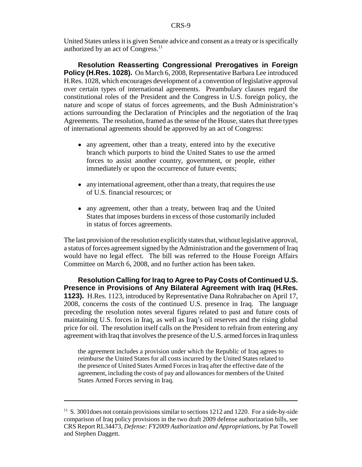United States unless it is given Senate advice and consent as a treaty or is specifically authorized by an act of Congress.<sup>11</sup>

**Resolution Reasserting Congressional Prerogatives in Foreign Policy (H.Res. 1028).** On March 6, 2008, Representative Barbara Lee introduced H.Res. 1028, which encourages development of a convention of legislative approval over certain types of international agreements. Preambulary clauses regard the constitutional roles of the President and the Congress in U.S. foreign policy, the nature and scope of status of forces agreements, and the Bush Administration's actions surrounding the Declaration of Principles and the negotiation of the Iraq Agreements. The resolution, framed as the sense of the House, states that three types of international agreements should be approved by an act of Congress:

- any agreement, other than a treaty, entered into by the executive branch which purports to bind the United States to use the armed forces to assist another country, government, or people, either immediately or upon the occurrence of future events;
- any international agreement, other than a treaty, that requires the use of U.S. financial resources; or
- any agreement, other than a treaty, between Iraq and the United States that imposes burdens in excess of those customarily included in status of forces agreements.

The last provision of the resolution explicitly states that, without legislative approval, a status of forces agreement signed by the Administration and the government of Iraq would have no legal effect. The bill was referred to the House Foreign Affairs Committee on March 6, 2008, and no further action has been taken.

**Resolution Calling for Iraq to Agree to Pay Costs of Continued U.S. Presence in Provisions of Any Bilateral Agreement with Iraq (H.Res. 1123).** H.Res. 1123, introduced by Representative Dana Rohrabacher on April 17, 2008, concerns the costs of the continued U.S. presence in Iraq. The language preceding the resolution notes several figures related to past and future costs of maintaining U.S. forces in Iraq, as well as Iraq's oil reserves and the rising global price for oil. The resolution itself calls on the President to refrain from entering any agreement with Iraq that involves the presence of the U.S. armed forces in Iraq unless

the agreement includes a provision under which the Republic of Iraq agrees to reimburse the United States for all costs incurred by the United States related to the presence of United States Armed Forces in Iraq after the effective date of the agreement, including the costs of pay and allowances for members of the United States Armed Forces serving in Iraq.

<sup>&</sup>lt;sup>11</sup> S. 3001 does not contain provisions similar to sections 1212 and 1220. For a side-by-side comparison of Iraq policy provisions in the two draft 2009 defense authorization bills, see CRS Report RL34473, *Defense: FY2009 Authorization and Appropriations*, by Pat Towell and Stephen Daggett.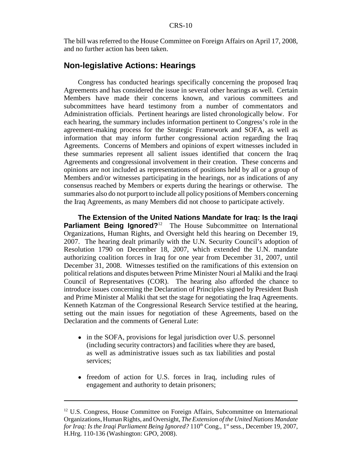The bill was referred to the House Committee on Foreign Affairs on April 17, 2008, and no further action has been taken.

#### **Non-legislative Actions: Hearings**

Congress has conducted hearings specifically concerning the proposed Iraq Agreements and has considered the issue in several other hearings as well. Certain Members have made their concerns known, and various committees and subcommittees have heard testimony from a number of commentators and Administration officials. Pertinent hearings are listed chronologically below. For each hearing, the summary includes information pertinent to Congress's role in the agreement-making process for the Strategic Framework and SOFA, as well as information that may inform further congressional action regarding the Iraq Agreements. Concerns of Members and opinions of expert witnesses included in these summaries represent all salient issues identified that concern the Iraq Agreements and congressional involvement in their creation. These concerns and opinions are not included as representations of positions held by all or a group of Members and/or witnesses participating in the hearings, nor as indications of any consensus reached by Members or experts during the hearings or otherwise. The summaries also do not purport to include all policy positions of Members concerning the Iraq Agreements, as many Members did not choose to participate actively.

**The Extension of the United Nations Mandate for Iraq: Is the Iraqi Parliament Being Ignored?**<sup>12</sup> The House Subcommittee on International Organizations, Human Rights, and Oversight held this hearing on December 19, 2007. The hearing dealt primarily with the U.N. Security Council's adoption of Resolution 1790 on December 18, 2007, which extended the U.N. mandate authorizing coalition forces in Iraq for one year from December 31, 2007, until December 31, 2008. Witnesses testified on the ramifications of this extension on political relations and disputes between Prime Minister Nouri al Maliki and the Iraqi Council of Representatives (COR). The hearing also afforded the chance to introduce issues concerning the Declaration of Principles signed by President Bush and Prime Minister al Maliki that set the stage for negotiating the Iraq Agreements. Kenneth Katzman of the Congressional Research Service testified at the hearing, setting out the main issues for negotiation of these Agreements, based on the Declaration and the comments of General Lute:

- in the SOFA, provisions for legal jurisdiction over U.S. personnel (including security contractors) and facilities where they are based, as well as administrative issues such as tax liabilities and postal services;
- freedom of action for U.S. forces in Iraq, including rules of engagement and authority to detain prisoners;

<sup>&</sup>lt;sup>12</sup> U.S. Congress, House Committee on Foreign Affairs, Subcommittee on International Organizations, Human Rights, and Oversight, *The Extension of the United Nations Mandate for Iraq: Is the Iraqi Parliament Being Ignored?* 110<sup>th</sup> Cong., 1<sup>st</sup> sess., December 19, 2007, H.Hrg. 110-136 (Washington: GPO, 2008).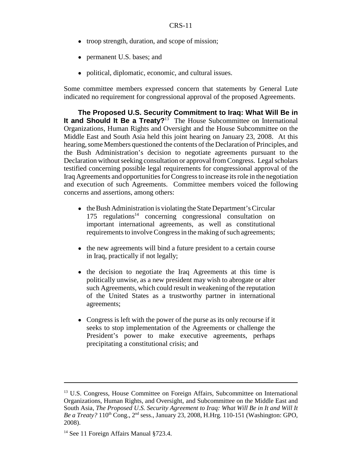- troop strength, duration, and scope of mission;
- permanent U.S. bases; and
- political, diplomatic, economic, and cultural issues.

Some committee members expressed concern that statements by General Lute indicated no requirement for congressional approval of the proposed Agreements.

**The Proposed U.S. Security Commitment to Iraq: What Will Be in It and Should It Be a Treaty?**<sup>13</sup> The House Subcommittee on International Organizations, Human Rights and Oversight and the House Subcommittee on the Middle East and South Asia held this joint hearing on January 23, 2008. At this hearing, some Members questioned the contents of the Declaration of Principles, and the Bush Administration's decision to negotiate agreements pursuant to the Declaration without seeking consultation or approval from Congress. Legal scholars testified concerning possible legal requirements for congressional approval of the Iraq Agreements and opportunities for Congress to increase its role in the negotiation and execution of such Agreements. Committee members voiced the following concerns and assertions, among others:

- the Bush Administration is violating the State Department's Circular  $175$  regulations<sup>14</sup> concerning congressional consultation on important international agreements, as well as constitutional requirements to involve Congress in the making of such agreements;
- the new agreements will bind a future president to a certain course in Iraq, practically if not legally;
- the decision to negotiate the Iraq Agreements at this time is politically unwise, as a new president may wish to abrogate or alter such Agreements, which could result in weakening of the reputation of the United States as a trustworthy partner in international agreements;
- Congress is left with the power of the purse as its only recourse if it seeks to stop implementation of the Agreements or challenge the President's power to make executive agreements, perhaps precipitating a constitutional crisis; and

<sup>&</sup>lt;sup>13</sup> U.S. Congress, House Committee on Foreign Affairs, Subcommittee on International Organizations, Human Rights, and Oversight, and Subcommittee on the Middle East and South Asia, *The Proposed U.S. Security Agreement to Iraq: What Will Be in It and Will It Be a Treaty?* 110<sup>th</sup> Cong., 2<sup>nd</sup> sess., January 23, 2008, H.Hrg. 110-151 (Washington: GPO, 2008).

<sup>&</sup>lt;sup>14</sup> See 11 Foreign Affairs Manual §723.4.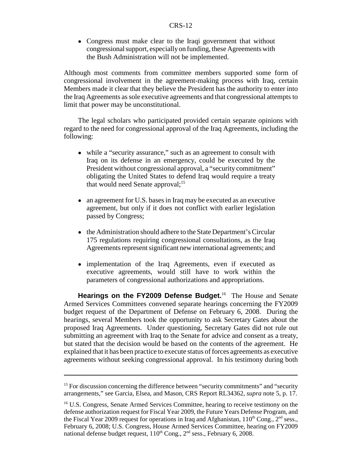• Congress must make clear to the Iraqi government that without congressional support, especially on funding, these Agreements with the Bush Administration will not be implemented.

Although most comments from committee members supported some form of congressional involvement in the agreement-making process with Iraq, certain Members made it clear that they believe the President has the authority to enter into the Iraq Agreements as sole executive agreements and that congressional attempts to limit that power may be unconstitutional.

The legal scholars who participated provided certain separate opinions with regard to the need for congressional approval of the Iraq Agreements, including the following:

- while a "security assurance," such as an agreement to consult with Iraq on its defense in an emergency, could be executed by the President without congressional approval, a "security commitment" obligating the United States to defend Iraq would require a treaty that would need Senate approval; $^{15}$
- an agreement for U.S. bases in Iraq may be executed as an executive agreement, but only if it does not conflict with earlier legislation passed by Congress;
- the Administration should adhere to the State Department's Circular 175 regulations requiring congressional consultations, as the Iraq Agreements represent significant new international agreements; and
- implementation of the Iraq Agreements, even if executed as executive agreements, would still have to work within the parameters of congressional authorizations and appropriations.

**Hearings on the FY2009 Defense Budget.**16 The House and Senate Armed Services Committees convened separate hearings concerning the FY2009 budget request of the Department of Defense on February 6, 2008. During the hearings, several Members took the opportunity to ask Secretary Gates about the proposed Iraq Agreements. Under questioning, Secretary Gates did not rule out submitting an agreement with Iraq to the Senate for advice and consent as a treaty, but stated that the decision would be based on the contents of the agreement. He explained that it has been practice to execute status of forces agreements as executive agreements without seeking congressional approval. In his testimony during both

 $15$  For discussion concerning the difference between "security commitments" and "security arrangements," see Garcia, Elsea, and Mason, CRS Report RL34362, *supra* note 5, p. 17.

<sup>&</sup>lt;sup>16</sup> U.S. Congress, Senate Armed Services Committee, hearing to receive testimony on the defense authorization request for Fiscal Year 2009, the Future Years Defense Program, and the Fiscal Year 2009 request for operations in Iraq and Afghanistan,  $110^{th}$  Cong.,  $2^{nd}$  sess., February 6, 2008; U.S. Congress, House Armed Services Committee, hearing on FY2009 national defense budget request,  $110^{th}$  Cong.,  $2^{nd}$  sess., February 6, 2008.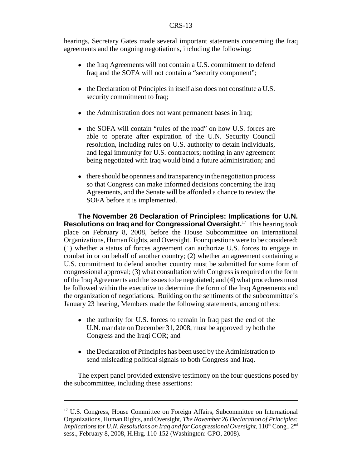#### CRS-13

hearings, Secretary Gates made several important statements concerning the Iraq agreements and the ongoing negotiations, including the following:

- the Iraq Agreements will not contain a U.S. commitment to defend Iraq and the SOFA will not contain a "security component";
- the Declaration of Principles in itself also does not constitute a U.S. security commitment to Iraq;
- the Administration does not want permanent bases in Iraq;
- the SOFA will contain "rules of the road" on how U.S. forces are able to operate after expiration of the U.N. Security Council resolution, including rules on U.S. authority to detain individuals, and legal immunity for U.S. contractors; nothing in any agreement being negotiated with Iraq would bind a future administration; and
- there should be openness and transparency in the negotiation process so that Congress can make informed decisions concerning the Iraq Agreements, and the Senate will be afforded a chance to review the SOFA before it is implemented.

**The November 26 Declaration of Principles: Implications for U.N. Resolutions on Iraq and for Congressional Oversight.**17 This hearing took place on February 8, 2008, before the House Subcommittee on International Organizations, Human Rights, and Oversight. Four questions were to be considered: (1) whether a status of forces agreement can authorize U.S. forces to engage in combat in or on behalf of another country; (2) whether an agreement containing a U.S. commitment to defend another country must be submitted for some form of congressional approval; (3) what consultation with Congress is required on the form of the Iraq Agreements and the issues to be negotiated; and (4) what procedures must be followed within the executive to determine the form of the Iraq Agreements and the organization of negotiations. Building on the sentiments of the subcommittee's January 23 hearing, Members made the following statements, among others:

- the authority for U.S. forces to remain in Iraq past the end of the U.N. mandate on December 31, 2008, must be approved by both the Congress and the Iraqi COR; and
- the Declaration of Principles has been used by the Administration to send misleading political signals to both Congress and Iraq.

The expert panel provided extensive testimony on the four questions posed by the subcommittee, including these assertions:

<sup>&</sup>lt;sup>17</sup> U.S. Congress, House Committee on Foreign Affairs, Subcommittee on International Organizations, Human Rights, and Oversight, *The November 26 Declaration of Principles: Implications for U.N. Resolutions on Iraq and for Congressional Oversight*, 110<sup>th</sup> Cong., 2<sup>nd</sup> sess., February 8, 2008, H.Hrg. 110-152 (Washington: GPO, 2008).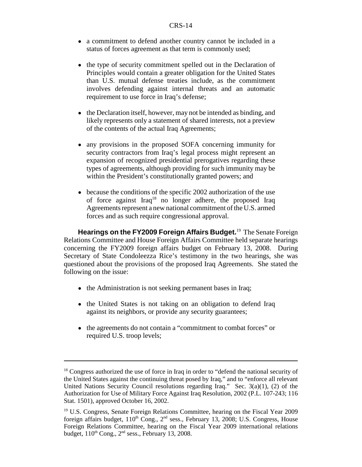- a commitment to defend another country cannot be included in a status of forces agreement as that term is commonly used;
- the type of security commitment spelled out in the Declaration of Principles would contain a greater obligation for the United States than U.S. mutual defense treaties include, as the commitment involves defending against internal threats and an automatic requirement to use force in Iraq's defense;
- the Declaration itself, however, may not be intended as binding, and likely represents only a statement of shared interests, not a preview of the contents of the actual Iraq Agreements;
- any provisions in the proposed SOFA concerning immunity for security contractors from Iraq's legal process might represent an expansion of recognized presidential prerogatives regarding these types of agreements, although providing for such immunity may be within the President's constitutionally granted powers; and
- because the conditions of the specific 2002 authorization of the use of force against Iraq18 no longer adhere, the proposed Iraq Agreements represent a new national commitment of the U.S. armed forces and as such require congressional approval.

**Hearings on the FY2009 Foreign Affairs Budget.**19 The Senate Foreign Relations Committee and House Foreign Affairs Committee held separate hearings concerning the FY2009 foreign affairs budget on February 13, 2008. During Secretary of State Condoleezza Rice's testimony in the two hearings, she was questioned about the provisions of the proposed Iraq Agreements. She stated the following on the issue:

- the Administration is not seeking permanent bases in Iraq;
- the United States is not taking on an obligation to defend Iraq against its neighbors, or provide any security guarantees;
- ! the agreements do not contain a "commitment to combat forces" or required U.S. troop levels;

 $18$  Congress authorized the use of force in Iraq in order to "defend the national security of the United States against the continuing threat posed by Iraq," and to "enforce all relevant United Nations Security Council resolutions regarding Iraq." Sec. 3(a)(1), (2) of the Authorization for Use of Military Force Against Iraq Resolution, 2002 (P.L. 107-243; 116 Stat. 1501), approved October 16, 2002.

<sup>&</sup>lt;sup>19</sup> U.S. Congress, Senate Foreign Relations Committee, hearing on the Fiscal Year 2009 foreign affairs budget,  $110<sup>th</sup>$  Cong.,  $2<sup>nd</sup>$  sess., February 13, 2008; U.S. Congress, House Foreign Relations Committee, hearing on the Fiscal Year 2009 international relations budget,  $110^{th}$  Cong.,  $2^{nd}$  sess., February 13, 2008.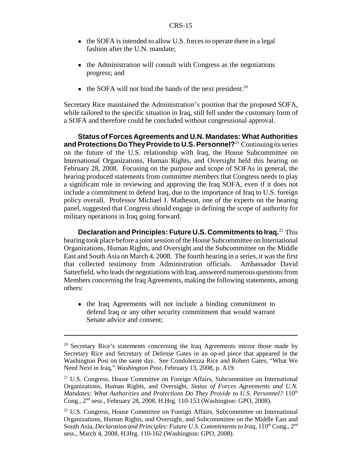- the SOFA is intended to allow U.S. forces to operate there in a legal fashion after the U.N. mandate;
- the Administration will consult with Congress as the negotiations progress; and
- $\bullet$  the SOFA will not bind the hands of the next president.<sup>20</sup>

Secretary Rice maintained the Administration's position that the proposed SOFA, while tailored to the specific situation in Iraq, still fell under the customary form of a SOFA and therefore could be concluded without congressional approval.

**Status of Forces Agreements and U.N. Mandates: What Authorities and Protections Do They Provide to U.S. Personnel?**21 Continuing its series on the future of the U.S. relationship with Iraq, the House Subcommittee on International Organizations, Human Rights, and Oversight held this hearing on February 28, 2008. Focusing on the purpose and scope of SOFAs in general, the hearing produced statements from committee members that Congress needs to play a significant role in reviewing and approving the Iraq SOFA, even if it does not include a commitment to defend Iraq, due to the importance of Iraq to U.S. foreign policy overall. Professor Michael J. Matheson, one of the experts on the hearing panel, suggested that Congress should engage in defining the scope of authority for military operations in Iraq going forward.

**Declaration and Principles: Future U.S. Commitments to Iraq.**22 This hearing took place before a joint session of the House Subcommittee on International Organizations, Human Rights, and Oversight and the Subcommittee on the Middle East and South Asia on March 4, 2008. The fourth hearing in a series, it was the first that collected testimony from Administration officials. Ambassador David Satterfield, who leads the negotiations with Iraq, answered numerous questions from Members concerning the Iraq Agreements, making the following statements, among others:

! the Iraq Agreements will not include a binding commitment to defend Iraq or any other security commitment that would warrant Senate advice and consent;

<sup>&</sup>lt;sup>20</sup> Secretary Rice's statements concerning the Iraq Agreements mirror those made by Secretary Rice and Secretary of Defense Gates in an op-ed piece that appeared in the Washington Post on the same day. See Condoleezza Rice and Robert Gates, "What We Need Next in Iraq," *Washington Post*, February 13, 2008, p. A19.

<sup>&</sup>lt;sup>21</sup> U.S. Congress, House Committee on Foreign Affairs, Subcommittee on International Organizations, Human Rights, and Oversight, *Status of Forces Agreements and U.N. Mandates: What Authorities and Protections Do They Provide to U.S. Personnel?* 110<sup>th</sup> Cong., 2nd sess., February 28, 2008, H.Hrg. 110-153 (Washington: GPO, 2008).

<sup>&</sup>lt;sup>22</sup> U.S. Congress, House Committee on Foreign Affairs, Subcommittee on International Organizations, Human Rights, and Oversight, and Subcommittee on the Middle East and South Asia, *Declaration and Principles: Future U.S. Commitments to Iraq*, 110<sup>th</sup> Cong., 2<sup>nd</sup> sess., March 4, 2008, H.Hrg. 110-162 (Washington: GPO, 2008).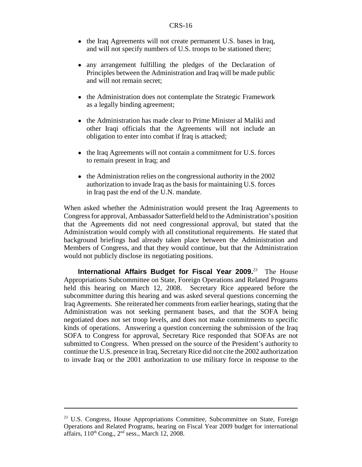- the Iraq Agreements will not create permanent U.S. bases in Iraq, and will not specify numbers of U.S. troops to be stationed there;
- any arrangement fulfilling the pledges of the Declaration of Principles between the Administration and Iraq will be made public and will not remain secret;
- the Administration does not contemplate the Strategic Framework as a legally binding agreement;
- the Administration has made clear to Prime Minister al Maliki and other Iraqi officials that the Agreements will not include an obligation to enter into combat if Iraq is attacked;
- the Iraq Agreements will not contain a commitment for U.S. forces to remain present in Iraq; and
- the Administration relies on the congressional authority in the 2002 authorization to invade Iraq as the basis for maintaining U.S. forces in Iraq past the end of the U.N. mandate.

When asked whether the Administration would present the Iraq Agreements to Congress for approval, Ambassador Satterfield held to the Administration's position that the Agreements did not need congressional approval, but stated that the Administration would comply with all constitutional requirements. He stated that background briefings had already taken place between the Administration and Members of Congress, and that they would continue, but that the Administration would not publicly disclose its negotiating positions.

**International Affairs Budget for Fiscal Year 2009.**23 The House Appropriations Subcommittee on State, Foreign Operations and Related Programs held this hearing on March 12, 2008. Secretary Rice appeared before the subcommittee during this hearing and was asked several questions concerning the Iraq Agreements. She reiterated her comments from earlier hearings, stating that the Administration was not seeking permanent bases, and that the SOFA being negotiated does not set troop levels, and does not make commitments to specific kinds of operations. Answering a question concerning the submission of the Iraq SOFA to Congress for approval, Secretary Rice responded that SOFAs are not submitted to Congress. When pressed on the source of the President's authority to continue the U.S. presence in Iraq, Secretary Rice did not cite the 2002 authorization to invade Iraq or the 2001 authorization to use military force in response to the

<sup>&</sup>lt;sup>23</sup> U.S. Congress, House Appropriations Committee, Subcommittee on State, Foreign Operations and Related Programs, hearing on Fiscal Year 2009 budget for international affairs,  $110^{th}$  Cong.,  $2^{nd}$  sess., March 12, 2008.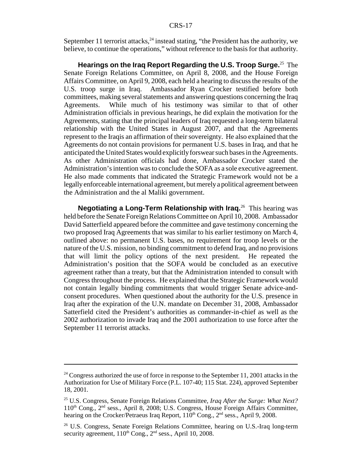September 11 terrorist attacks,  $24$  instead stating, "the President has the authority, we believe, to continue the operations," without reference to the basis for that authority.

**Hearings on the Iraq Report Regarding the U.S. Troop Surge.**25 The Senate Foreign Relations Committee, on April 8, 2008, and the House Foreign Affairs Committee, on April 9, 2008, each held a hearing to discuss the results of the U.S. troop surge in Iraq. Ambassador Ryan Crocker testified before both committees, making several statements and answering questions concerning the Iraq Agreements. While much of his testimony was similar to that of other Administration officials in previous hearings, he did explain the motivation for the Agreements, stating that the principal leaders of Iraq requested a long-term bilateral relationship with the United States in August 2007, and that the Agreements represent to the Iraqis an affirmation of their sovereignty. He also explained that the Agreements do not contain provisions for permanent U.S. bases in Iraq, and that he anticipated the United States would explicitly forswear such bases in the Agreements. As other Administration officials had done, Ambassador Crocker stated the Administration's intention was to conclude the SOFA as a sole executive agreement. He also made comments that indicated the Strategic Framework would not be a legally enforceable international agreement, but merely a political agreement between the Administration and the al Maliki government.

**Negotiating a Long-Term Relationship with Iraq.**26 This hearing was held before the Senate Foreign Relations Committee on April 10, 2008. Ambassador David Satterfield appeared before the committee and gave testimony concerning the two proposed Iraq Agreements that was similar to his earlier testimony on March 4, outlined above: no permanent U.S. bases, no requirement for troop levels or the nature of the U.S. mission, no binding commitment to defend Iraq, and no provisions that will limit the policy options of the next president. He repeated the Administration's position that the SOFA would be concluded as an executive agreement rather than a treaty, but that the Administration intended to consult with Congress throughout the process. He explained that the Strategic Framework would not contain legally binding commitments that would trigger Senate advice-andconsent procedures. When questioned about the authority for the U.S. presence in Iraq after the expiration of the U.N. mandate on December 31, 2008, Ambassador Satterfield cited the President's authorities as commander-in-chief as well as the 2002 authorization to invade Iraq and the 2001 authorization to use force after the September 11 terrorist attacks.

 $24$  Congress authorized the use of force in response to the September 11, 2001 attacks in the Authorization for Use of Military Force (P.L. 107-40; 115 Stat. 224), approved September 18, 2001.

<sup>25</sup> U.S. Congress, Senate Foreign Relations Committee, *Iraq After the Surge: What Next?* 110<sup>th</sup> Cong., 2<sup>nd</sup> sess., April 8, 2008; U.S. Congress, House Foreign Affairs Committee, hearing on the Crocker/Petraeus Iraq Report, 110<sup>th</sup> Cong., 2<sup>nd</sup> sess., April 9, 2008.

<sup>&</sup>lt;sup>26</sup> U.S. Congress, Senate Foreign Relations Committee, hearing on U.S.-Iraq long-term security agreement,  $110^{th}$  Cong.,  $2^{nd}$  sess., April 10, 2008.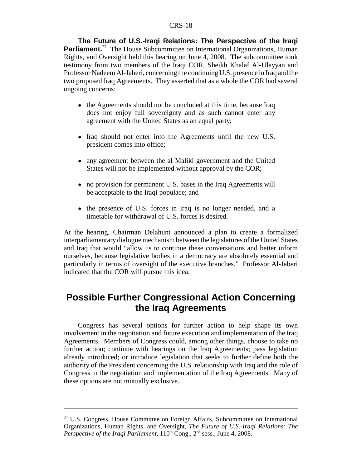**The Future of U.S.-Iraqi Relations: The Perspective of the Iraqi Parliament.**<sup>27</sup> The House Subcommittee on International Organizations, Human Rights, and Oversight held this hearing on June 4, 2008. The subcommittee took testimony from two members of the Iraqi COR, Sheikh Khalaf Al-Ulayyan and Professor Nadeem Al-Jaberi, concerning the continuing U.S. presence in Iraq and the two proposed Iraq Agreements. They asserted that as a whole the COR had several ongoing concerns:

- the Agreements should not be concluded at this time, because Iraq does not enjoy full sovereignty and as such cannot enter any agreement with the United States as an equal party;
- Iraq should not enter into the Agreements until the new U.S. president comes into office;
- any agreement between the al Maliki government and the United States will not be implemented without approval by the COR;
- no provision for permanent U.S. bases in the Iraq Agreements will be acceptable to the Iraqi populace; and
- the presence of U.S. forces in Iraq is no longer needed, and a timetable for withdrawal of U.S. forces is desired.

At the hearing, Chairman Delahunt announced a plan to create a formalized interparliamentary dialogue mechanism between the legislatures of the United States and Iraq that would "allow us to continue these conversations and better inform ourselves, because legislative bodies in a democracy are absolutely essential and particularly in terms of oversight of the executive branches." Professor Al-Jaberi indicated that the COR will pursue this idea.

## **Possible Further Congressional Action Concerning the Iraq Agreements**

Congress has several options for further action to help shape its own involvement in the negotiation and future execution and implementation of the Iraq Agreements. Members of Congress could, among other things, choose to take no further action; continue with hearings on the Iraq Agreements; pass legislation already introduced; or introduce legislation that seeks to further define both the authority of the President concerning the U.S. relationship with Iraq and the role of Congress in the negotiation and implementation of the Iraq Agreements. Many of these options are not mutually exclusive.

<sup>&</sup>lt;sup>27</sup> U.S. Congress, House Committee on Foreign Affairs, Subcommittee on International Organizations, Human Rights, and Oversight, *The Future of U.S.-Iraqi Relations: The Perspective of the Iraqi Parliament*, 110<sup>th</sup> Cong., 2<sup>nd</sup> sess., June 4, 2008.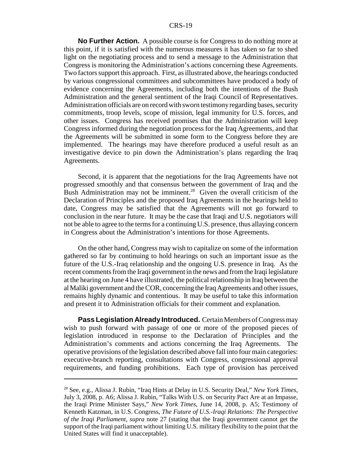#### CRS-19

**No Further Action.** A possible course is for Congress to do nothing more at this point, if it is satisfied with the numerous measures it has taken so far to shed light on the negotiating process and to send a message to the Administration that Congress is monitoring the Administration's actions concerning these Agreements. Two factors support this approach. First, as illustrated above, the hearings conducted by various congressional committees and subcommittees have produced a body of evidence concerning the Agreements, including both the intentions of the Bush Administration and the general sentiment of the Iraqi Council of Representatives. Administration officials are on record with sworn testimony regarding bases, security commitments, troop levels, scope of mission, legal immunity for U.S. forces, and other issues. Congress has received promises that the Administration will keep Congress informed during the negotiation process for the Iraq Agreements, and that the Agreements will be submitted in some form to the Congress before they are implemented. The hearings may have therefore produced a useful result as an investigative device to pin down the Administration's plans regarding the Iraq Agreements.

Second, it is apparent that the negotiations for the Iraq Agreements have not progressed smoothly and that consensus between the government of Iraq and the Bush Administration may not be imminent.<sup>28</sup> Given the overall criticism of the Declaration of Principles and the proposed Iraq Agreements in the hearings held to date, Congress may be satisfied that the Agreements will not go forward to conclusion in the near future. It may be the case that Iraqi and U.S. negotiators will not be able to agree to the terms for a continuing U.S. presence, thus allaying concern in Congress about the Administration's intentions for those Agreements.

On the other hand, Congress may wish to capitalize on some of the information gathered so far by continuing to hold hearings on such an important issue as the future of the U.S.-Iraq relationship and the ongoing U.S. presence in Iraq. As the recent comments from the Iraqi government in the news and from the Iraqi legislature at the hearing on June 4 have illustrated, the political relationship in Iraq between the al Maliki government and the COR, concerning the Iraq Agreements and other issues, remains highly dynamic and contentious. It may be useful to take this information and present it to Administration officials for their comment and explanation.

**Pass Legislation Already Introduced.** Certain Members of Congress may wish to push forward with passage of one or more of the proposed pieces of legislation introduced in response to the Declaration of Principles and the Administration's comments and actions concerning the Iraq Agreements. The operative provisions of the legislation described above fall into four main categories: executive-branch reporting, consultations with Congress, congressional approval requirements, and funding prohibitions. Each type of provision has perceived

<sup>28</sup> See, e.g., Alissa J. Rubin, "Iraq Hints at Delay in U.S. Security Deal," *New York Times*, July 3, 2008, p. A6; Alissa J. Rubin, "Talks With U.S. on Security Pact Are at an Impasse, the Iraqi Prime Minister Says," *New York Times*, June 14, 2008, p. A5; Testimony of Kenneth Katzman, in U.S. Congress, *The Future of U.S.-Iraqi Relations: The Perspective of the Iraqi Parliament*, *supra* note 27 (stating that the Iraqi government cannot get the support of the Iraqi parliament without limiting U.S. military flexibility to the point that the United States will find it unacceptable).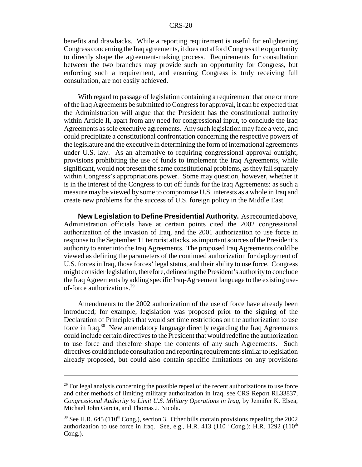benefits and drawbacks. While a reporting requirement is useful for enlightening Congress concerning the Iraq agreements, it does not afford Congress the opportunity to directly shape the agreement-making process. Requirements for consultation between the two branches may provide such an opportunity for Congress, but enforcing such a requirement, and ensuring Congress is truly receiving full consultation, are not easily achieved.

With regard to passage of legislation containing a requirement that one or more of the Iraq Agreements be submitted to Congress for approval, it can be expected that the Administration will argue that the President has the constitutional authority within Article II, apart from any need for congressional input, to conclude the Iraq Agreements as sole executive agreements. Any such legislation may face a veto, and could precipitate a constitutional confrontation concerning the respective powers of the legislature and the executive in determining the form of international agreements under U.S. law. As an alternative to requiring congressional approval outright, provisions prohibiting the use of funds to implement the Iraq Agreements, while significant, would not present the same constitutional problems, as they fall squarely within Congress's appropriations power. Some may question, however, whether it is in the interest of the Congress to cut off funds for the Iraq Agreements: as such a measure may be viewed by some to compromise U.S. interests as a whole in Iraq and create new problems for the success of U.S. foreign policy in the Middle East.

**New Legislation to Define Presidential Authority.** As recounted above, Administration officials have at certain points cited the 2002 congressional authorization of the invasion of Iraq, and the 2001 authorization to use force in response to the September 11 terrorist attacks, as important sources of the President's authority to enter into the Iraq Agreements. The proposed Iraq Agreements could be viewed as defining the parameters of the continued authorization for deployment of U.S. forces in Iraq, those forces' legal status, and their ability to use force. Congress might consider legislation, therefore, delineating the President's authority to conclude the Iraq Agreements by adding specific Iraq-Agreement language to the existing useof-force authorizations.29

Amendments to the 2002 authorization of the use of force have already been introduced; for example, legislation was proposed prior to the signing of the Declaration of Principles that would set time restrictions on the authorization to use force in Iraq.<sup>30</sup> New amendatory language directly regarding the Iraq Agreements could include certain directives to the President that would redefine the authorization to use force and therefore shape the contents of any such Agreements. Such directives could include consultation and reporting requirements similar to legislation already proposed, but could also contain specific limitations on any provisions

 $29$  For legal analysis concerning the possible repeal of the recent authorizations to use force and other methods of limiting military authorization in Iraq, see CRS Report RL33837, *Congressional Authority to Limit U.S. Military Operations in Iraq*, by Jennifer K. Elsea, Michael John Garcia, and Thomas J. Nicola.

 $30$  See H.R. 645 (110<sup>th</sup> Cong.), section 3. Other bills contain provisions repealing the 2002 authorization to use force in Iraq. See, e.g., H.R. 413 ( $110<sup>th</sup>$  Cong.); H.R. 1292 ( $110<sup>th</sup>$ Cong.).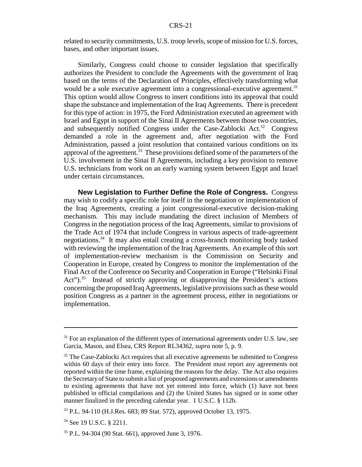related to security commitments, U.S. troop levels, scope of mission for U.S. forces, bases, and other important issues.

Similarly, Congress could choose to consider legislation that specifically authorizes the President to conclude the Agreements with the government of Iraq based on the terms of the Declaration of Principles, effectively transforming what would be a sole executive agreement into a congressional-executive agreement.<sup>31</sup> This option would allow Congress to insert conditions into its approval that could shape the substance and implementation of the Iraq Agreements. There is precedent for this type of action: in 1975, the Ford Administration executed an agreement with Israel and Egypt in support of the Sinai II Agreements between those two countries, and subsequently notified Congress under the Case-Zablocki Act.<sup>32</sup> Congress demanded a role in the agreement and, after negotiation with the Ford Administration, passed a joint resolution that contained various conditions on its approval of the agreement.<sup>33</sup> These provisions defined some of the parameters of the U.S. involvement in the Sinai II Agreements, including a key provision to remove U.S. technicians from work on an early warning system between Egypt and Israel under certain circumstances.

**New Legislation to Further Define the Role of Congress.** Congress may wish to codify a specific role for itself in the negotiation or implementation of the Iraq Agreements, creating a joint congressional-executive decision-making mechanism. This may include mandating the direct inclusion of Members of Congress in the negotiation process of the Iraq Agreements, similar to provisions of the Trade Act of 1974 that include Congress in various aspects of trade-agreement negotiations.34 It may also entail creating a cross-branch monitoring body tasked with reviewing the implementation of the Iraq Agreements. An example of this sort of implementation-review mechanism is the Commission on Security and Cooperation in Europe, created by Congress to monitor the implementation of the Final Act of the Conference on Security and Cooperation in Europe ("Helsinki Final Act").<sup>35</sup> Instead of strictly approving or disapproving the President's actions concerning the proposed Iraq Agreements, legislative provisions such as these would position Congress as a partner in the agreement process, either in negotiations or implementation.

<sup>&</sup>lt;sup>31</sup> For an explanation of the different types of international agreements under U.S. law, see Garcia, Mason, and Elsea, CRS Report RL34362, *supra* note 5, p. 9.

 $32$  The Case-Zablocki Act requires that all executive agreements be submitted to Congress within 60 days of their entry into force. The President must report any agreements not reported within the time frame, explaining the reasons for the delay. The Act also requires the Secretary of State to submit a list of proposed agreements and extensions or amendments to existing agreements that have not yet entered into force, which (1) have not been published in official compilations and (2) the United States has signed or in some other manner finalized in the preceding calendar year. 1 U.S.C. § 112b.

<sup>33</sup> P.L. 94-110 (H.J.Res. 683; 89 Stat. 572), approved October 13, 1975.

<sup>&</sup>lt;sup>34</sup> See 19 U.S.C. § 2211.

<sup>35</sup> P.L. 94-304 (90 Stat. 661), approved June 3, 1976.